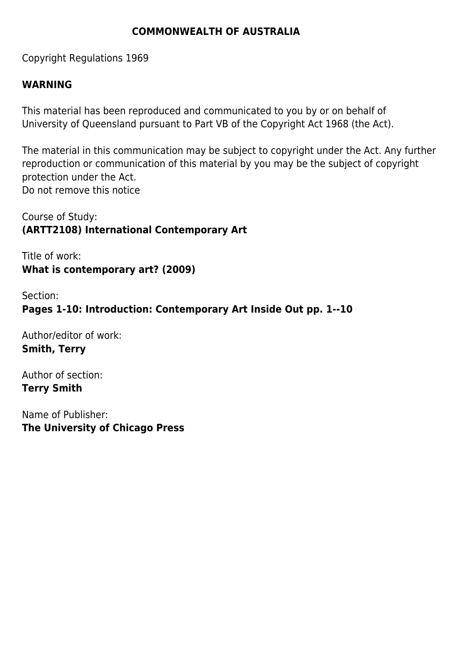## **COMMONWEALTH OF AUSTRALIA**

Copyright Regulations 1969

# **WARNING**

This material has been reproduced and communicated to you by or on behalf of University of Queensland pursuant to Part VB of the Copyright Act 1968 (the Act).

The material in this communication may be subject to copyright under the Act. Any further reproduction or communication of this material by you may be the subject of copyright protection under the Act. Do not remove this notice

Course of Study: **(ARTT2108) International Contemporary Art**

Title of work: **What is contemporary art? (2009)**

Section: **Pages 1-10: Introduction: Contemporary Art Inside Out pp. 1--10**

Author/editor of work: **Smith, Terry**

Author of section: **Terry Smith**

Name of Publisher: **The University of Chicago Press**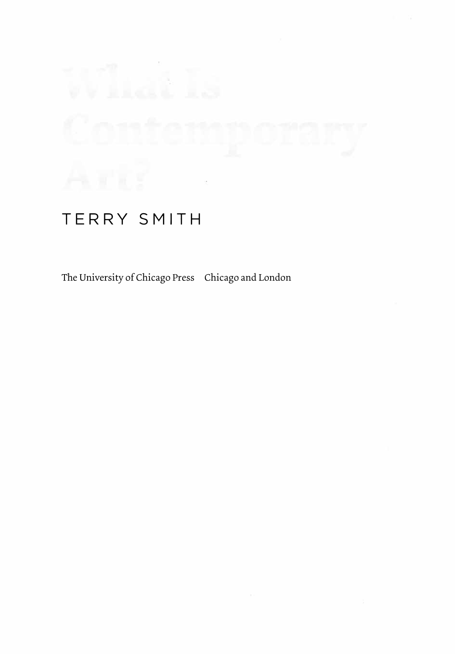# TERRY SMITH

The University of Chicago Press Chicago and London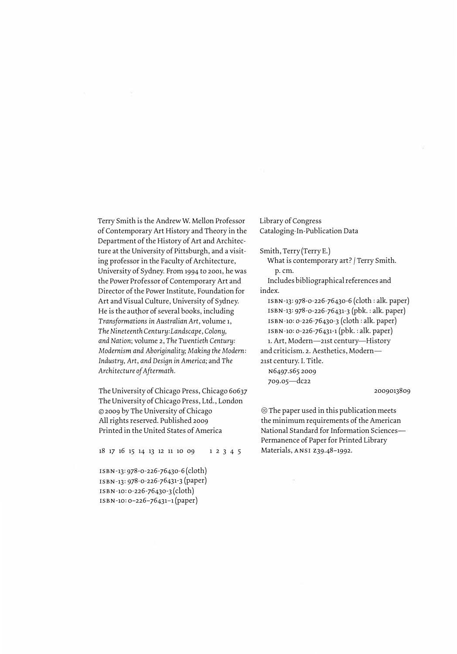Terry Smith is the Andrew W. Mellon Professor of Contemporary Art History and Theory in the Department of the History of Art and Architecture at the University of Pittsburgh, and a visiting professor in the Faculty of Architecture, University of Sydney. From 1994 to 2001, he was the Power Professor of Contemporary Art and Director of the Power Institute, Foundation for Art and Visual Culture, University of Sydney. He is the author of several books, including Transformations in Australian Art, volume 1, The Nineteenth Century: Landscape, Colony, and Nation; volume 2, The Twentieth Century: Modernism and Aboriginality; Making the Modern: Industry, Art, and Design in America; and The Architecture of Aftermath.

The University of Chicago Press, Chicago 60637 The University of Chicago Press, Ltd., London ©2009 by The University of Chicago All rights reserved. Published 2009 Printed in the United States of America

18 17 16 15 14 13 12 11 10 09 1 2 3 4 5

ISBN-13: 978·0·226-76430-6 (cloth) ISBN-13: 978-0-226-76431-3 (paper) ISBN-10: 0-226-76430-3 (cloth) ISBN-10: 0-226-76431-1 (paper)

Library of Congress Cataloging-In-Publication Data

Smith, Terry (Terry E.)

What is contemporary art? / Terry Smith. p. cm.

Includes bibliographical references and index.

ISBN-13: 978-o-226-76430-6 (cloth : alk. paper) ISBN-13: 978-o-226-76431-3 (pbk. : alk. paper) ISBN-10: o-226-76430-3 (cloth : alk. paper) ISBN-10: o-226-76431-1 (pbk. : alk. paper) 1. Art, Modern-21st century-History

and criticism. 2. Aesthetics, Modern-21St century. I. Title.

N6497.S65 2009 709.05-dc22

## 2009013809

@I The paper used in this publication meets the minimum requirements of the American National Standard for Information Sciences-Permanence of Paper for Printed Library Materials, ANSI Z39.48-1992.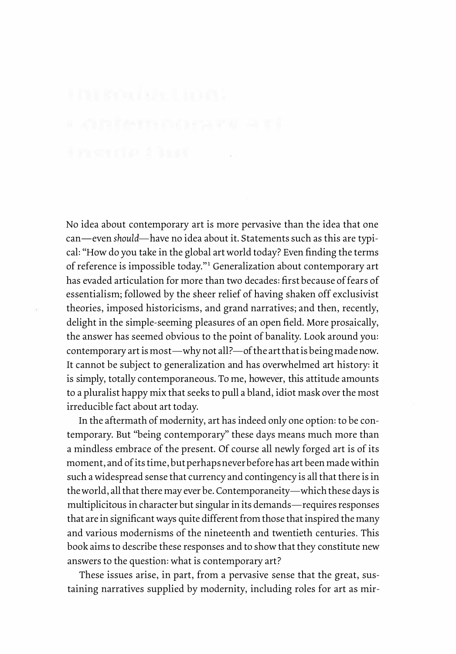No idea about contemporary art is more pervasive than the idea that one can-even should-have no idea about it. Statements such as this are typical: "How do you take in the global art world today? Even finding the terms of reference is impossible today."1 Generalization about contemporary art has evaded articulation for more than two decades: first because of fears of essentialism; followed by the sheer relief of having shaken off exclusivist theories, imposed historicisms, and grand narratives; and then, recently, delight in the simple-seeming pleasures of an open field. More prosaically, the answer has seemed obvious to the point of banality. Look around you: contemporary art is most—why not all?—of the art that is being made now. It cannot be subject to generalization and has overwhelmed art history: it is simply, totally contemporaneous. To me, however, this attitude amounts to a pluralist happy mix that seeks to pull a bland, idiot mask over the most irreducible fact about art today.

In the aftermath of modernity, art has indeed only one option: to be contemporary. But "being contemporary" these days means much more than a mindless embrace of the present. Of course all newly forged art is of its moment, and of its time, but perhaps never before has art been made within such a widespread sense that currency and contingency is all that there is in the world, all that there may ever be. Contemporaneity—which these days is multiplicitous in character but singular in its demands-requires responses that are in significant ways quite different from those that inspired the many and various modernisms of the nineteenth and twentieth centuries. This book aims to describe these responses and to show that they constitute new answers to the question: what is contemporary art?

These issues arise, in part, from a pervasive sense that the great, sustaining narratives supplied by modernity, including roles for art as mir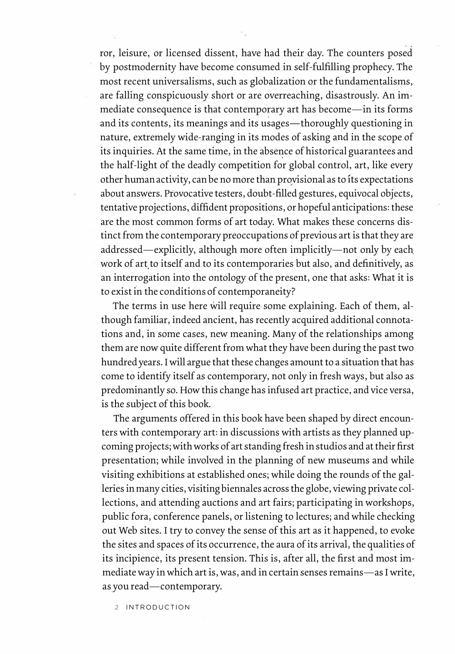ror, leisure, or licensed dissent, have had their day. The counters posed by postmodernity have become consumed in self-fulfilling prophecy. The most recent universalisms, such as globalization or the fundamentalisms, are falling conspicuously short or are overreaching, disastrously. An immediate consequence is that contemporary art has become-in its forms and its contents, its meanings and its usages—thoroughly questioning in nature, extremely wide-ranging in its modes of asking and in the scope of its inquiries. At the same time, in the absence of historical guarantees and the half-light of the deadly competition for global control, art, like every other human activity, can be no more than provisional as to its expectations about answers. Provocative testers, doubt-filled gestures, equivocal objects, tentative projections, diffident propositions, or hopeful anticipations: these are the most common forms of art today. What makes these concerns distinct from the contemporary preoccupations of previous art is that they are addressed—explicitly, although more often implicitly—not only by each work of art to itself and to its contemporaries but also, and definitively, as an interrogation into the ontology of the present, one that asks: What it is to exist in the conditions of contemporaneity?

The terms in use here will require some explaining. Each of them, although familiar, indeed ancient, has recently acquired additional connotations and, in some cases, new meaning. Many of the relationships among them are now quite different from what they have been during the past two hundred years. I will argue that these changes amount to a situation that has come to identify itself as contemporary, not only in fresh ways, but also as predominantly so. How this change has infused art practice, and vice versa, is the subject of this book.

The arguments offered in this book have been shaped by direct encounters with contemporary art: in discussions with artists as they planned upcoming projects; with works of art standing fresh in studios and at their first presentation; while involved in the planning of new museums and while visiting exhibitions at established ones; while doing the rounds of the galleries in many cities, visiting biennales across the globe, viewing private collections, and attending auctions and art fairs; participating in workshops, public fora, conference panels, or listening to lectures; and while checking out Web sites. I try to convey the sense of this art as it happened, to evoke the sites and spaces of its occurrence, the aura of its arrival, the qualities of its incipience, its present tension. This is, after all, the first and most immediate way in which art is, was, and in certain senses remains-as I write, as you read-contemporary.

2 INTRODUCTION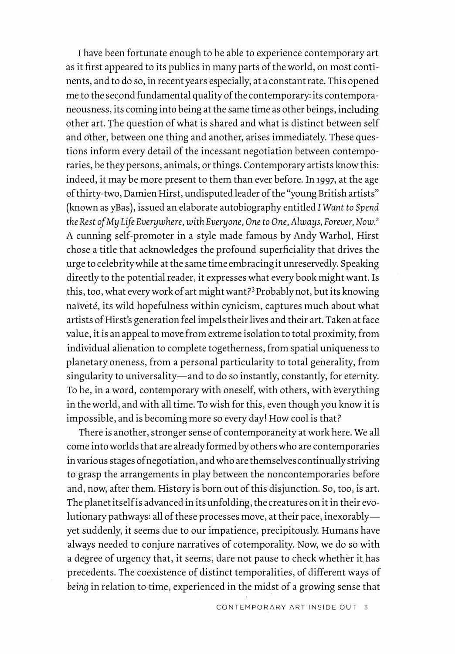I have been fortunate enough to be able to experience contemporary art as it first appeared to its publics in many parts of the world, on most continents, and to do so, in recent years especially, at a constant rate. This opened me to the second fundamental quality of the contemporary: its contemporaneousness, its coming into being at the same time as other beings, including other art. The question of what is shared and what is distinct between self and dther, between one thing and another, arises immediately. These questions inform every detail of the incessant negotiation between contemporaries, be they persons, animals, or things. Contemporary artists know this: indeed, it may be more present to them than ever before. In 1997, at the age of thirty-two, Damien Hirst, undisputed leader of the "young British artists" (known as yBas), issued an elaborate autobiography entitled I Want to Spend the Rest of My Life Everywhere, with Everyone, One to One, Always, Forever, Now.<sup>2</sup> A cunning self-promoter in a style made famous by Andy Warhol, Hirst chose a title that acknowledges the profound superficiality that drives the urge to celebrity while at the same time embracing it unreservedly. Speaking directly to the potential reader, it expresses what every book might want. Is this, too, what every work of art might want?<sup>3</sup> Probably not, but its knowing naïveté, its wild hopefulness within cynicism, captures much about what artists of Hirst's generation feel impels their lives and their art. Taken at face value, it is an appeal to move from extreme isolation to total proximity, from individual alienation to complete togetherness, from spatial uniqueness to planetary oneness, from a personal particularity to total generality, from singularity to universality—and to do so instantly, constantly, for eternity. To be, in a word, contemporary with oneself, with others, with everything in the world, and with all time. To wish for this, even though you know it is impossible, and is becoming more so every day! How cool is that?

There is another, stronger sense of contemporaneity at work here. We all come into worlds that are already formed by others who are contemporaries in various stages of negotiation, and who are themselves continually striving to grasp the arrangements in play between the noncontemporaries before and, now, after them. History is born out of this disjunction. So, too, is art. The planet itself is advanced in its unfolding, the creatures on it in their evolutionary pathways: all of these processes move, at their pace, inexorablyyet suddenly, it seems due to our impatience, precipitously. Humans have always needed to conjure narratives of cotemporality. Now, we do so with a degree of urgency that, it seems, dare not pause to check whether it has precedents. The coexistence of distinct temporalities, of different ways of being in relation to time, experienced in the midst of a growing sense that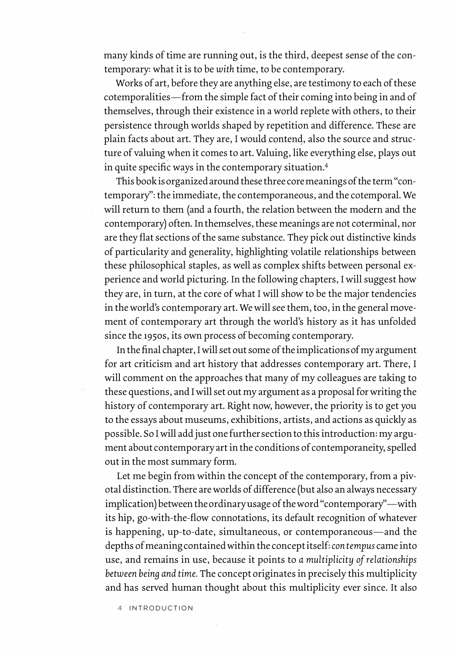many kinds of time are running out, is the third, deepest sense of the contemporary: what it is to be with time, to be contemporary.

Works of art, before they are anything else, are testimony to each of these cotemporalities-from the simple fact of their coming into being in and of themselves, through their existence in a world replete with others, to their persistence through worlds shaped by repetition and difference. These are plain facts about art. They are, I would contend, also the source and structure of valuing when it comes to art. Valuing, like everything else, plays out in quite specific ways in the contemporary situation.4

This book is organized around these three core meanings of the term "contemporary": the immediate, the contemporaneous, and the cotemporal. We will return to them (and a fourth, the relation between the modern and the contemporary) often. In themselves, these meanings are not coterminal, nor are they flat sections of the same substance. They pick out distinctive kinds of particularity and generality, highlighting volatile relationships between these philosophical staples, as well as complex shifts between personal experience and world picturing. In the following chapters, I will suggest how they are, in turn, at the core of what I will show to be the major tendencies in the world's contemporary art. We will see them, too, in the general movement of contemporary art through the world's history as it has unfolded since the 1950s, its own process of becoming contemporary.

In the final chapter, I will set out some of the implications of my argument for art criticism and art history that addresses contemporary art. There, I will comment on the approaches that many of my colleagues are taking to these questions, and I will set out my argument as a proposal for writing the history of contemporary art. Right now, however, the priority is to get you to the essays about museums, exhibitions, artists, and actions as quickly as possible. So I will add just one further section to this introduction: my argument about contemporary art in the conditions of contemporaneity, spelled out in the most summary form.

Let me begin from within the concept of the contemporary, from a pivotal distinction. There are worlds of difference (but also an always necessary implication) between the ordinary usage of the word "contemporary"-with its hip, go-with-the-flow connotations, its default recognition of whatever is happening, up-to-date, simultaneous, or contemporaneous—and the depths of meaning contained within the concept itself: con tempus came into use, and remains in use, because it points to a multiplicity of relationships between being and time. The concept originates in precisely this multiplicity and has served human thought about this multiplicity ever since. It also

4 INTRODUCTION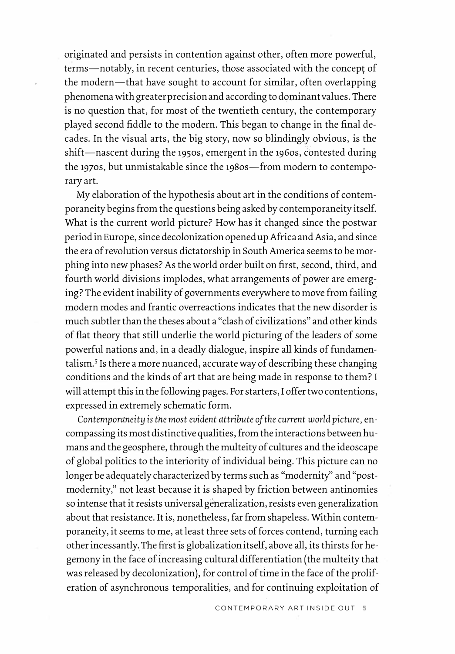originated and persists in contention against other, often more powerful, terms-notably, in recent centuries, those associated with the concept of the modern-that have sought to account for similar, often overlapping phenomena with greater precision and according to dominant values. There is no question that, for most of the twentieth century, the contemporary played second fiddle to the modern. This began to change in the final decades. In the visual arts, the big story, now so blindingly obvious, is the shift—nascent during the 1950s, emergent in the 1960s, contested during the 1970s, but unmistakable since the 1980s-from modern to contemporary art.

My elaboration of the hypothesis about art in the conditions of contemporaneity begins from the questions being asked by contemporaneity itself. What is the current world picture? How has it changed since the postwar period in Europe, since decolonization opened up Africa and Asia, and since the era of revolution versus dictatorship in South America seems to be morphing into new phases? As the world order built on first, second, third, and fourth world divisions implodes, what arrangements of power are emerging? The evident inability of governments everywhere to move from failing modern modes and frantic overreactions indicates that the new disorder is much subtler than the theses about a "clash of civilizations" and other kinds of flat theory that still underlie the world picturing of the leaders of some powerful nations and, in a deadly dialogue, inspire all kinds of fundamentalism.<sup>5</sup> Is there a more nuanced, accurate way of describing these changing conditions and the kinds of art that are being made in response to them? I will attempt this in the following pages. For starters, I offer two contentions, expressed in extremely schematic form.

Contemporaneity is the most evident attribute of the current world picture, encompassing its most distinctive qualities, from the interactions between humans and the geosphere, through the multeity of cultures and the ideoscape of global politics to the interiority of individual being. This picture can no longer be adequately characterized by terms such as "modernity" and "postmodernity," not least because it is shaped by friction between antinomies so intense that it resists universal generalization, resists even generalization about that resistance. It is, nonetheless, far from shapeless. Within contemporaneity, it seems to me, at least three sets of forces contend, turning each other incessantly. The first is globalization itself, above all, its thirsts for hegemony in the face of increasing cultural differentiation (the multeity that was released by decolonization), for control of time in the face of the proliferation of asynchronous temporalities, and for continuing exploitation of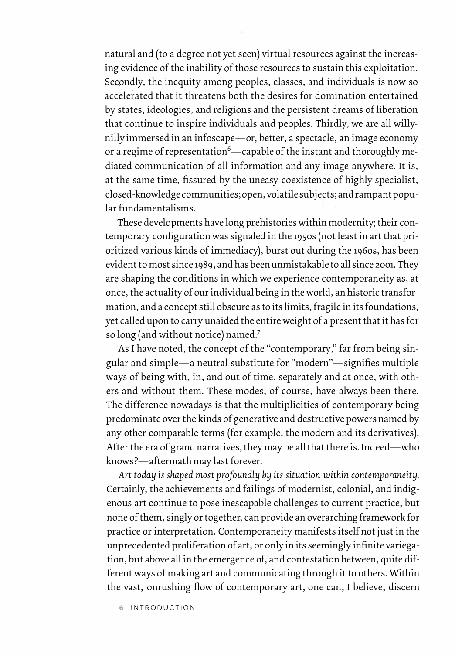natural and (to a degree not yet seen) virtual resources against the increasing evidence of the inability of those resources to sustain this exploitation. Secondly, the inequity among peoples, classes, and individuals is now so accelerated that it threatens both the desires for domination entertained by states, ideologies, and religions and the persistent dreams of liberation that continue to inspire individuals and peoples. Thirdly, we are all willynilly immersed in an infoscape-or, better, a spectacle, an image economy or a regime of representation $6-$ capable of the instant and thoroughly mediated communication of all information and any image anywhere. It is, at the same time, fissured by the uneasy coexistence of highly specialist, closed-knowledge communities; open, volatile subjects; and rampant popular fundamentalisms.

These developments have long prehistories within modernity; their contemporary configuration was signaled in the 1950s (not least in art that prioritized various kinds of immediacy), burst out during the 196os, has been evident to most since 1989, and has been unmistakable to all since 2001. They are shaping the conditions in which we experience contemporaneity as, at once, the actuality of our individual being in the world, an historic transformation, and a concept still obscure as to its limits, fragile in its foundations, yet called upon to carry unaided the entire weight of a present that it has for so long (and without notice) named.<sup>7</sup>

As I have noted, the concept of the "contemporary," far from being singular and simple-a neutral substitute for "modern"-signifies multiple ways of being with, in, and out of time, separately and at once, with others and without them. These modes, of course, have always been there. The difference nowadays is that the multiplicities of contemporary being predominate over the kinds of generative and destructive powers named by any other comparable terms (for example, the modern and its derivatives). After the era of grand narratives, they may be all that there is. Indeed—who knows?—aftermath may last forever.

Art today is shaped most profoundly by its situation within contemporaneity. Certainly, the achievements and failings of modernist, colonial, and indigenous art continue to pose inescapable challenges to current practice, but none of them, singly or together, can provide an overarching framework for practice or interpretation. Contemporaneity manifests itself not just in the unprecedented proliferation of art, or only in its seemingly infinite variegation, but above all in the emergence of, and contestation between, quite different ways of making art and communicating through it to others. Within the vast, onrushing flow of contemporary art, one can, I believe, discern

6 INTRODUCTION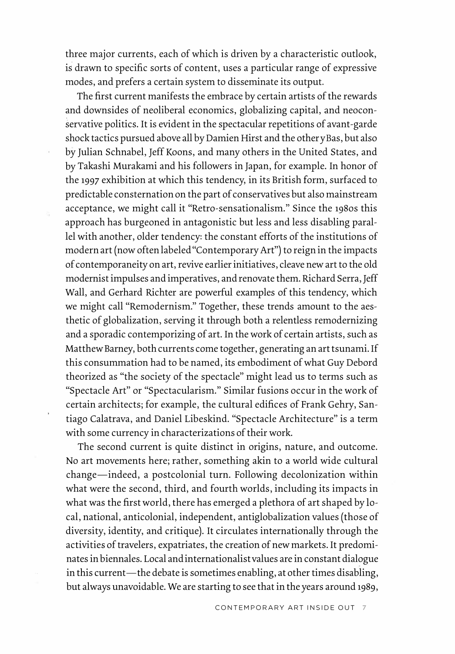three major currents, each of which is driven by a characteristic outlook, is drawn to specific sorts of content, uses a particular range of expressive modes, and prefers a certain system to disseminate its output.

The first current manifests the embrace by certain artists of the rewards and downsides of neoliberal economics, globalizing capital, and neoconservative politics. It is evident in the spectacular repetitions of avant-garde shock tactics pursued above all by Damien Hirst and the other y Bas, but also by Julian Schnabel, Jeff Koons, and many others in the United States, and by Takashi Murakami and his followers in Japan, for example. In honor of the 1997 exhibition at which this tendency, in its British form, surfaced to predictable consternation on the part of conservatives but also mainstream acceptance, we might call it "Retro-sensationalism." Since the 198os this approach has burgeoned in antagonistic but less and less disabling parallel with another, older tendency: the constant efforts of the institutions of modern art (now often labeled "Contemporary Art") to reign in the impacts of contemporaneity on art, revive earlier initiatives, cleave new art to the old modernist impulses and imperatives, and renovate them. Richard Serra, Jeff Wall, and Gerhard Richter are powerful examples of this tendency, which we might call "Remodernism." Together, these trends amount to the aesthetic of globalization, serving it through both a relentless remodernizing and a sporadic contemporizing of art. In the work of certain artists, such as Matthew Barney, both currents come together, generating an art tsunami. If this consummation had to be named, its embodiment of what Guy Debord theorized as "the society of the spectacle" might lead us to terms such as "Spectacle Art" or "Spectacularism." Similar fusions occur in the work of certain architects; for example, the cultural edifices of Frank Gehry, Santiago Calatrava, and Daniel Libeskind. "Spectacle Architecture" is a term with some currency in characterizations of their work.

The second current is quite distinct in origins, nature, and outcome. No art movements here; rather, something akin to a world wide cultural change-indeed, a postcolonial turn. Following decolonization within what were the second, third, and fourth worlds, including its impacts in what was the first world, there has emerged a plethora of art shaped by local, national, anticolonial, independent, antiglobalization values (those of diversity, identity, and critique). It circulates internationally through the activities of travelers, expatriates, the creation of new markets. It predominates in biennales. Local and internationalist values are in constant dialogue in this current—the debate is sometimes enabling, at other times disabling, but always unavoidable. We are starting to see that in the years around 1989,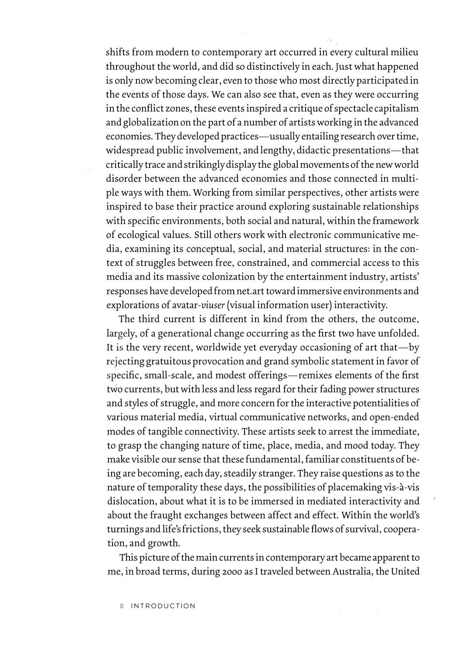shifts from modern to contemporary art occurred in every cultural milieu throughout the world, and did so distinctively in each. Just what happened is only now becoming clear, even to those who most directly participated in the events of those days. We can also see that, even as they were occurring in the conflict zones, these events inspired a critique of spectacle capitalism and globalization on the part of a number of artists working in the advanced economies. They developed practices—usually entailing research over time, widespread public involvement, and lengthy, didactic presentations—that critically trace and strikingly display the global movements of the new world disorder between the advanced economies and those connected in multiple ways with them. Working from similar perspectives, other artists were inspired to base their practice around exploring sustainable relationships with specific environments, both social and natural, within the framework of ecological values. Still others work with electronic communicative media, examining its conceptual, social, and material structures: in the context of struggles between free, constrained, and commercial access to this media and its massive colonization by the entertainment industry, artists' responses have developed from net. art toward immersive environments and explorations of avatar-viuser (visual information user) interactivity.

The third current is different in kind from the others, the outcome, largely, of a generational change occurring as the first two have unfolded. It is the very recent, worldwide yet everyday occasioning of art that-by rejecting gratuitous provocation and grand symbolic statement in favor of specific, small-scale, and modest offerings-remixes elements of the first two currents, but with less and less regard for their fading power structures and styles of struggle, and more concern for the interactive potentialities of various material media, virtual communicative networks, and open-ended modes of tangible connectivity. These artists seek to arrest the immediate, to grasp the changing nature of time, place, media, and mood today. They make visible our sense that these fundamental, familiar constituents of being are becoming, each day, steadily stranger. They raise questions as to the nature of temporality these days, the possibilities of placemaking vis-a-vis dislocation, about what it is to be immersed in mediated interactivity and about the fraught exchanges between affect and effect. Within the world's turnings and life's frictions, they seek sustainable flows of survival, cooperation, and growth.

This picture of the main currents in contemporary art became apparent to me, in broad terms, during zooo as I traveled between Australia, the United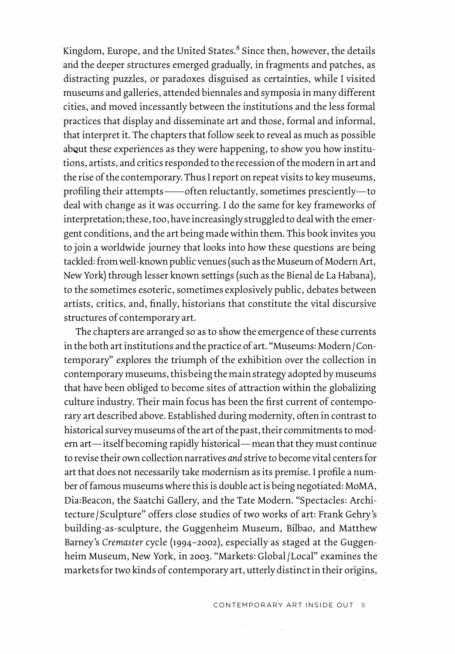Kingdom, Europe, and the United States.<sup>8</sup> Since then, however, the details and the deeper structures emerged gradually, in fragments and patches, as distracting puzzles, or paradoxes disguised as certainties, while I visited museums and galleries, attended biennales and symposia in many different cities, and moved incessantly between the institutions and the less formal practices that display and disseminate art and those, formal and informal, that interpret it. The chapters that follow seek to reveal as much as possible about these experiences as they were happening, to show you how institutions, artists, and critics responded to the recession of the modern in art and the rise of the contemporary. Thus I report on repeat visits to key museums, profiling their attempts--often reluctantly, sometimes presciently-to deal with change as it was occurring. I do the same for key frameworks of interpretation; these, too, have increasingly struggled to deal with the emergent conditions, and the art being made within them. This book invites you to join a worldwide journey that looks into how these questions are being tackled: from well-known public venues (such as the Museum of Modern Art, New York) through lesser known settings (such as the Bienal de La Habana ), to the sometimes esoteric, sometimes explosively public, debates between artists, critics, and, finally, historians that constitute the vital discursive structures of contemporary art.

The chapters are arranged so as to show the emergence of these currents in the both art institutions and the practice of art. "Museums: Modern / Contemporary" explores the triumph of the exhibition over the collection in contemporary museums, this being the main strategy adopted by museums that have been obliged to become sites of attraction within the globalizing culture industry. Their main focus has been the first current of contemporary art described above. Established during modernity, often in contrast to historical survey museums of the art of the past, their commitments to modern art—itself becoming rapidly historical—mean that they must continue to revise their own collection narratives and strive to become vital centers for art that does not necessarily take modernism as its premise. I profile a number of famous museums where this is double act is being negotiated: MaMA, Dia:Beacon, the Saatchi Gallery, and the Tate Modern. "Spectacles: Architecture / Sculpture" offers close studies of two works of art: Frank Gehry's building-as-sculpture, the Guggenheim Museum, Bilbao, and Matthew Barney's Cremaster cycle (1994-2002), especially as staged at the Guggenheim Museum, New York, in 2003. "Markets: Global/ Local" examines the markets for two kinds of contemporary art, utterly distinct in their origins,